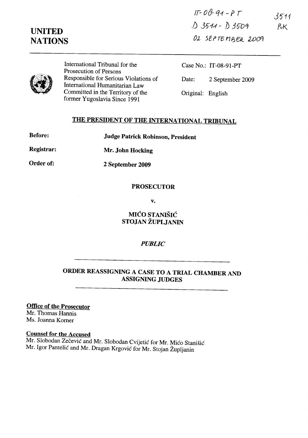# **UNITED NATIONS**

 $IF-OO-91-PT$ 3511 j) 31) *"f.-1* - ]) *j* ~ q  $P\nu K$ OL SEPTEMBER 2009



International Tribunal for the Prosecution of Persons Responsible for Serious Violations of International Humanitarian Law Committed in the Territory of the former Yugoslavia Since 1991

Case No.: IT-08-91-PT Date: 2 September 2009 Original: English

## THE PRESIDENT OF THE INTERNATIONAL TRIBUNAL

Judge Patrick Robinson, President

Registrar: Mr. John Hocking

Order of:

2 September 2009

#### PROSECUTOR

v.

MICO STANISIC STOJAN ZUPLJANIN

#### *PUBLIC*

### ORDER REASSIGNING A CASE TO A TRIAL CHAMBER AND ASSIGNING JUDGES

Office of the Prosecutor Mr. Thomas Hannis Ms. Joanna Komer

Counsel for the Accused

Mr. Slobodan Zečević and Mr. Slobodan Cvijetić for Mr. Mićo Stanišić Mr. Igor Pantelic and Mr. Dragan Krgovic for Mr. Stojan Zupljanin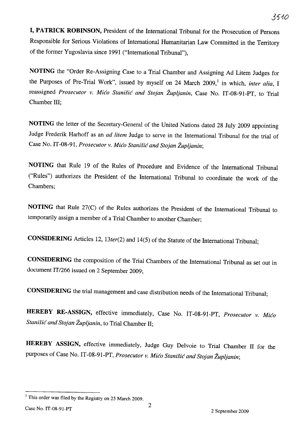**I, PATRICK ROBINSON,** President of the International Tribunal for the Prosecution of Persons Responsible for Serious Violations of International Humanitarian Law Committed in the Territory of the former Yugoslavia since 1991 ("International Tribunal"),

**NOTING** the "Order Re-Assigning Case to a Trial Chamber and Assigning Ad Litem Judges for the Purposes of Pre-Trial Work", issued by myself on 24 March 2009,<sup>1</sup> in which, *inter alia*, I reassigned *Prosecutor v. Mico Stanisic and Stojan Zupljanin,* Case No. IT-08-91-PT, to Trial Chamber III;

**NOTING** the letter of the Secretary-General of the United Nations dated 28 July 2009 appointing Judge Frederik Harhoff as an *ad litem* Judge to serve in the International Tribunal for the trial of Case No. IT-08-91, *Prosecutor v. Mico Stanisic and Stojan Zupljanin;* 

**NOTING** that Rule 19 of the Rules of Procedure and Evidence of the International Tribunal ("Rules") authorizes the President of the International Tribunal to coordinate the work of the Chambers;

**NOTING** that Rule 27(C) of the Rules authorizes the President of the International Tribunal to temporarily assign a member of a Trial Chamber to another Chamber;

**CONSIDERING** Articles 12, *13ter(2)* and 14(5) of the Statute of the International Tribunal;

**CONSIDERING** the composition of the Trial Chambers of the International Tribunal as set out in document IT/266 issued on 2 September 2009;

**CONSIDERING** the trial management and case distribution needs of the International Tribunal;

**HEREBY RE.ASSIGN,** effective immediately, Case No. IT-08-91-PT, *Prosecutor v. Mico Stanisic and Stojan Zupljanin,* to Trial Chamber II;

**HEREBY ASSIGN,** effective immediately, Judge Guy Delvoie to Trial Chamber II for the purposes of Case No. IT-08-91-PT, *Prosecutor v. Mico Stanisic and Stojan Zupljanin;* 

<sup>&</sup>lt;sup>1</sup> This order was filed by the Registry on 25 March 2009.